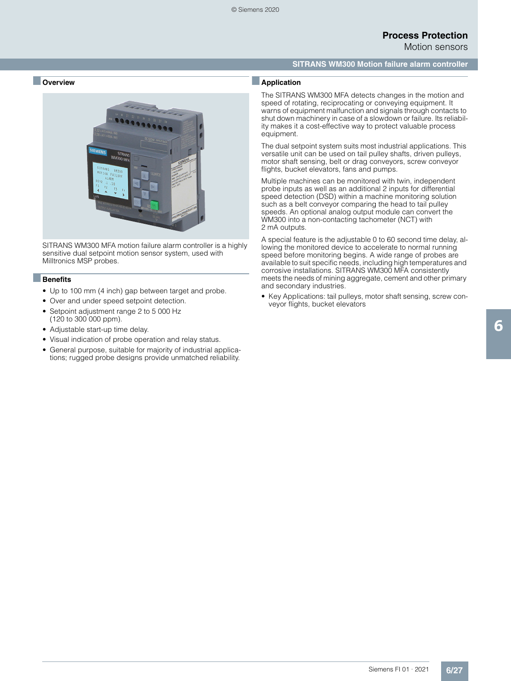Motion sensors

### **SITRANS WM300 Motion failure alarm controller**

### ■ **Overview**



SITRANS WM300 MFA motion failure alarm controller is a highly sensitive dual setpoint motion sensor system, used with Milltronics MSP probes.

#### ■**Benefits**

- Up to 100 mm (4 inch) gap between target and probe.
- Over and under speed setpoint detection.
- Setpoint adjustment range 2 to 5 000 Hz (120 to 300 000 ppm).
- Adjustable start-up time delay.
- Visual indication of probe operation and relay status.
- General purpose, suitable for majority of industrial applications; rugged probe designs provide unmatched reliability.

### ■**Application**

The SITRANS WM300 MFA detects changes in the motion and speed of rotating, reciprocating or conveying equipment. It warns of equipment malfunction and signals through contacts to shut down machinery in case of a slowdown or failure. Its reliability makes it a cost-effective way to protect valuable process equipment.

The dual setpoint system suits most industrial applications. This versatile unit can be used on tail pulley shafts, driven pulleys, motor shaft sensing, belt or drag conveyors, screw conveyor flights, bucket elevators, fans and pumps.

Multiple machines can be monitored with twin, independent probe inputs as well as an additional 2 inputs for differential speed detection (DSD) within a machine monitoring solution such as a belt conveyor comparing the head to tail pulley speeds. An optional analog output module can convert the WM300 into a non-contacting tachometer (NCT) with 2 mA outputs.

A special feature is the adjustable 0 to 60 second time delay, allowing the monitored device to accelerate to normal running speed before monitoring begins. A wide range of probes are available to suit specific needs, including high temperatures and corrosive installations. SITRANS WM300 MFA consistently meets the needs of mining aggregate, cement and other primary and secondary industries.

• Key Applications: tail pulleys, motor shaft sensing, screw conveyor flights, bucket elevators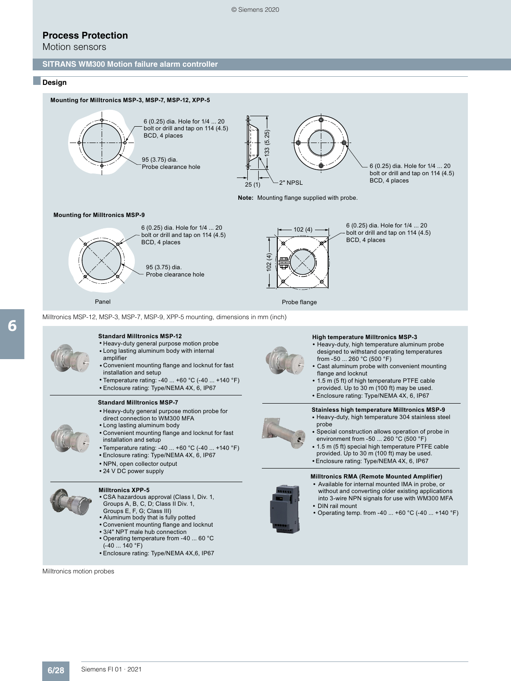Motion sensors

#### **SITRANS WM300 Motion failure alarm controller**

#### ■**Design**

6



- Convenient mounting flange and locknut for fast **•** installation and setup
- Temperature rating: -40 ... +60 °C (-40 ... +140 °F) **•**
- **•** Enclosure rating: Type/NEMA 4X, 6, IP67

#### **Standard Milltronics MSP-7**

- **•** Heavy-duty general purpose motion probe for direct connection to WM300 MFA
- **•** Long lasting aluminum body
- **•** Convenient mounting flange and locknut for fast installation and setup
- **•** Temperature rating: -40 ... +60 °C (-40 ... +140 °F)
- **•** Enclosure rating: Type/NEMA 4X, 6, IP67
- **•** NPN, open collector output
- **•** 24 V DC power supply

#### **Milltronics XPP-5**



- CSA hazardous approval (Class I, Div. 1, **•** Groups A, B, C, D; Class II Div. 1,
- Groups E, F, G; Class III)
- Aluminum body that is fully potted **•**
- Convenient mounting flange and locknut **•**
- 3/4" NPT male hub connection **• •** Operating temperature from -40 ... 60 °C
- (-40 ... 140 °F)
- Enclosure rating: Type/NEMA 4X,6, IP67 **•**

Milltronics motion probes



- Cast aluminum probe with convenient mounting **•** flange and locknut
- 1.5 m (5 ft) of high temperature PTFE cable **•** provided. Up to 30 m (100 ft) may be used.
- **•** Enclosure rating: Type/NEMA 4X, 6, IP67
- **Stainless high temperature Milltronics MSP-9**



- Heavy-duty, high temperature 304 stainless steel **•** probe
- Special construction allows operation of probe in environment from -50 ... 260 °C (500 °F) **•**
- 1.5 m (5 ft) special high temperature PTFE cable **•** provided. Up to 30 m (100 ft) may be used. **•** Enclosure rating: Type/NEMA 4X, 6, IP67

## **Milltronics RMA (Remote Mounted Amplifier)**

- Available for internal mounted IMA in probe, or **•** without and converting older existing applications
- into 3-wire NPN signals for use with WM300 MFA **•** DIN rail mount
- Operating temp. from -40 ... +60 °C (-40 ... +140 °F) **•**

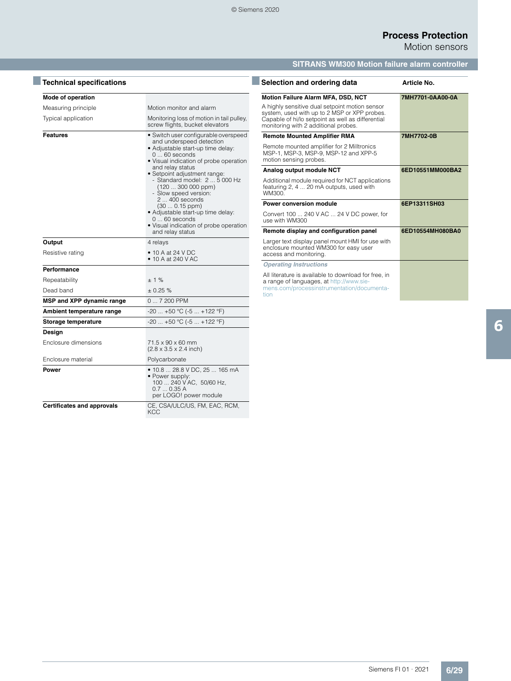Motion sensors

# **SITRANS WM300 Motion failure alarm controller**

| Mode of operation                 |                                                                                                                                                                                                                                                                                                                                                                                                                                                             |
|-----------------------------------|-------------------------------------------------------------------------------------------------------------------------------------------------------------------------------------------------------------------------------------------------------------------------------------------------------------------------------------------------------------------------------------------------------------------------------------------------------------|
| Measuring principle               | Motion monitor and alarm                                                                                                                                                                                                                                                                                                                                                                                                                                    |
| Typical application               | Monitoring loss of motion in tail pulley,<br>screw flights, bucket elevators                                                                                                                                                                                                                                                                                                                                                                                |
| <b>Features</b>                   | • Switch user configurable overspeed<br>and underspeed detection<br>· Adjustable start-up time delay:<br>$060$ seconds<br>• Visual indication of probe operation<br>and relay status<br>· Setpoint adjustment range:<br>- Standard model: 2  5 000 Hz<br>$(120300000$ ppm)<br>- Slow speed version:<br>2  400 seconds<br>$(300.15$ ppm)<br>· Adjustable start-up time delay:<br>$060$ seconds<br>• Visual indication of probe operation<br>and relay status |
| Output                            | 4 relays                                                                                                                                                                                                                                                                                                                                                                                                                                                    |
| Resistive rating                  | $\bullet$ 10 A at 24 V DC<br>$\bullet$ 10 A at 240 V AC                                                                                                                                                                                                                                                                                                                                                                                                     |
| Performance                       |                                                                                                                                                                                                                                                                                                                                                                                                                                                             |
| Repeatability                     | $+1%$                                                                                                                                                                                                                                                                                                                                                                                                                                                       |
| Dead band                         | $+0.25%$                                                                                                                                                                                                                                                                                                                                                                                                                                                    |
| MSP and XPP dynamic range         | 0  7 200 PPM                                                                                                                                                                                                                                                                                                                                                                                                                                                |
| Ambient temperature range         | $-20$ $+50$ °C ( $-5$ $+122$ °F)                                                                                                                                                                                                                                                                                                                                                                                                                            |
| Storage temperature               | $-20$ $+50$ °C ( $-5$ $+122$ °F)                                                                                                                                                                                                                                                                                                                                                                                                                            |
| Design                            |                                                                                                                                                                                                                                                                                                                                                                                                                                                             |
| Enclosure dimensions              | $71.5 \times 90 \times 60$ mm<br>$(2.8 \times 3.5 \times 2.4 \text{ inch})$                                                                                                                                                                                                                                                                                                                                                                                 |
| Enclosure material                | Polycarbonate                                                                                                                                                                                                                                                                                                                                                                                                                                               |
| Power                             | • 10.8  28.8 V DC, 25  165 mA<br>• Power supply:<br>100  240 V AC, 50/60 Hz,<br>0.70.35A<br>per LOGO! power module                                                                                                                                                                                                                                                                                                                                          |
| <b>Certificates and approvals</b> | CE, CSA/ULC/US, FM, EAC, RCM,<br><b>KCC</b>                                                                                                                                                                                                                                                                                                                                                                                                                 |

| Selection and ordering data                                                                                                                                                                 | Article No.      |
|---------------------------------------------------------------------------------------------------------------------------------------------------------------------------------------------|------------------|
| <b>Motion Failure Alarm MFA, DSD, NCT</b>                                                                                                                                                   | 7MH7701-0AA00-0A |
| A highly sensitive dual setpoint motion sensor<br>system, used with up to 2 MSP or XPP probes.<br>Capable of hi/lo setpoint as well as differential<br>monitoring with 2 additional probes. |                  |
| <b>Remote Mounted Amplifier RMA</b>                                                                                                                                                         | 7MH7702-0B       |
| Remote mounted amplifier for 2 Milltronics<br>MSP-1, MSP-3, MSP-9, MSP-12 and XPP-5<br>motion sensing probes.                                                                               |                  |
| Analog output module NCT                                                                                                                                                                    | 6ED10551MM000BA2 |
| Additional module required for NCT applications<br>featuring 2, 4  20 mA outputs, used with<br>WM300.                                                                                       |                  |
| Power conversion module                                                                                                                                                                     | 6EP13311SH03     |
| Convert 100  240 V AC  24 V DC power, for<br>use with WM300                                                                                                                                 |                  |
| Remote display and configuration panel                                                                                                                                                      | 6ED10554MH080BA0 |
| Larger text display panel mount HMI for use with<br>enclosure mounted WM300 for easy user<br>access and monitoring.                                                                         |                  |
| <b>Operating Instructions</b>                                                                                                                                                               |                  |
| All literature is available to download for free, in<br>a range of languages, at http://www.sie-<br>mens.com/processinstrumentation/documenta-<br>tion                                      |                  |